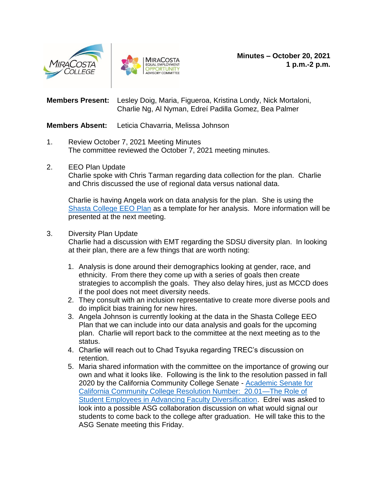



**Members Present:** Lesley Doig, Maria, Figueroa, Kristina Londy, Nick Mortaloni, Charlie Ng, Al Nyman, Edreí Padilla Gomez, Bea Palmer

**Members Absent:** Leticia Chavarria, Melissa Johnson

- 1. Review October 7, 2021 Meeting Minutes The committee reviewed the October 7, 2021 meeting minutes.
- 2. EEO Plan Update

Charlie spoke with Chris Tarman regarding data collection for the plan. Charlie and Chris discussed the use of regional data versus national data.

Charlie is having Angela work on data analysis for the plan. She is using the Shasta [College EEO Plan](https://scmainweb.s3.us-west-1.amazonaws.com/files/resources/shasta-college-equal-employment-opportunity-plan-2.pdf) as a template for her analysis. More information will be presented at the next meeting.

## 3. Diversity Plan Update

Charlie had a discussion with EMT regarding the SDSU diversity plan. In looking at their plan, there are a few things that are worth noting:

- 1. Analysis is done around their demographics looking at gender, race, and ethnicity. From there they come up with a series of goals then create strategies to accomplish the goals. They also delay hires, just as MCCD does if the pool does not meet diversity needs.
- 2. They consult with an inclusion representative to create more diverse pools and do implicit bias training for new hires.
- 3. Angela Johnson is currently looking at the data in the Shasta College EEO Plan that we can include into our data analysis and goals for the upcoming plan. Charlie will report back to the committee at the next meeting as to the status.
- 4. Charlie will reach out to Chad Tsyuka regarding TREC's discussion on retention.
- 5. Maria shared information with the committee on the importance of growing our own and what it looks like. Following is the link to the resolution passed in fall 2020 by the California Community College Senate - [Academic Senate for](https://asccc.org/resolutions/role-student-employees-advancing-faculty-diversification)  [California Community College Resolution Number: 20.01—The Role of](https://asccc.org/resolutions/role-student-employees-advancing-faculty-diversification)  [Student Employees in Advancing Faculty Diversification.](https://asccc.org/resolutions/role-student-employees-advancing-faculty-diversification) Edreí was asked to look into a possible ASG collaboration discussion on what would signal our students to come back to the college after graduation. He will take this to the ASG Senate meeting this Friday.